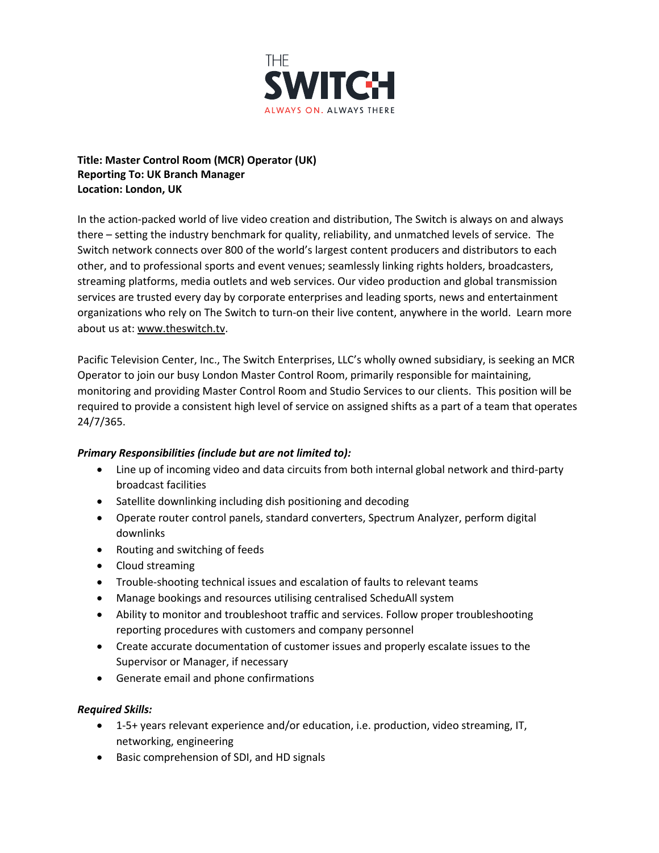

## **Title: Master Control Room (MCR) Operator (UK) Reporting To: UK Branch Manager Location: London, UK**

In the action-packed world of live video creation and distribution, The Switch is always on and always there – setting the industry benchmark for quality, reliability, and unmatched levels of service. The Switch network connects over 800 of the world's largest content producers and distributors to each other, and to professional sports and event venues; seamlessly linking rights holders, broadcasters, streaming platforms, media outlets and web services. Our video production and global transmission services are trusted every day by corporate enterprises and leading sports, news and entertainment organizations who rely on The Switch to turn-on their live content, anywhere in the world. Learn more about us at: www.theswitch.tv.

Pacific Television Center, Inc., The Switch Enterprises, LLC's wholly owned subsidiary, is seeking an MCR Operator to join our busy London Master Control Room, primarily responsible for maintaining, monitoring and providing Master Control Room and Studio Services to our clients. This position will be required to provide a consistent high level of service on assigned shifts as a part of a team that operates 24/7/365.

## *Primary Responsibilities (include but are not limited to):*

- Line up of incoming video and data circuits from both internal global network and third-party broadcast facilities
- Satellite downlinking including dish positioning and decoding
- Operate router control panels, standard converters, Spectrum Analyzer, perform digital downlinks
- Routing and switching of feeds
- Cloud streaming
- Trouble-shooting technical issues and escalation of faults to relevant teams
- Manage bookings and resources utilising centralised ScheduAll system
- Ability to monitor and troubleshoot traffic and services. Follow proper troubleshooting reporting procedures with customers and company personnel
- Create accurate documentation of customer issues and properly escalate issues to the Supervisor or Manager, if necessary
- Generate email and phone confirmations

## *Required Skills:*

- 1-5+ years relevant experience and/or education, i.e. production, video streaming, IT, networking, engineering
- Basic comprehension of SDI, and HD signals